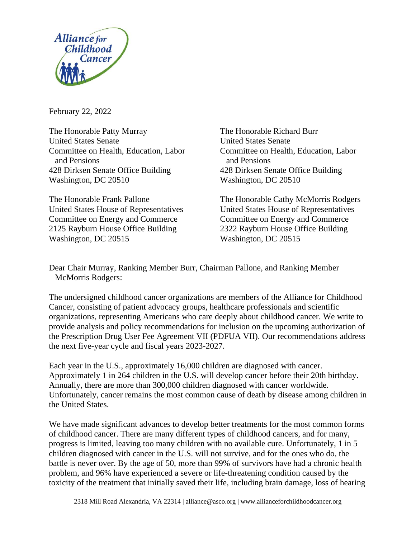

February 22, 2022

The Honorable Patty Murray The Honorable Richard Burr United States Senate United States Senate Committee on Health, Education, Labor Committee on Health, Education, Labor and Pensions and Pensions 428 Dirksen Senate Office Building 428 Dirksen Senate Office Building Washington, DC 20510 Washington, DC 20510

Committee on Energy and Commerce Committee on Energy and Commerce 2125 Rayburn House Office Building 2322 Rayburn House Office Building Washington, DC 20515 Washington, DC 20515

The Honorable Frank Pallone The Honorable Cathy McMorris Rodgers United States House of Representatives United States House of Representatives

Dear Chair Murray, Ranking Member Burr, Chairman Pallone, and Ranking Member McMorris Rodgers:

The undersigned childhood cancer organizations are members of the Alliance for Childhood Cancer, consisting of patient advocacy groups, healthcare professionals and scientific organizations, representing Americans who care deeply about childhood cancer. We write to provide analysis and policy recommendations for inclusion on the upcoming authorization of the Prescription Drug User Fee Agreement VII (PDFUA VII). Our recommendations address the next five-year cycle and fiscal years 2023-2027.

Each year in the U.S., approximately 16,000 children are diagnosed with cancer. Approximately 1 in 264 children in the U.S. will develop cancer before their 20th birthday. Annually, there are more than 300,000 children diagnosed with cancer worldwide. Unfortunately, cancer remains the most common cause of death by disease among children in the United States.

We have made significant advances to develop better treatments for the most common forms of childhood cancer. There are many different types of childhood cancers, and for many, progress is limited, leaving too many children with no available cure. Unfortunately, 1 in 5 children diagnosed with cancer in the U.S. will not survive, and for the ones who do, the battle is never over. By the age of 50, more than 99% of survivors have had a chronic health problem, and 96% have experienced a severe or life-threatening condition caused by the toxicity of the treatment that initially saved their life, including brain damage, loss of hearing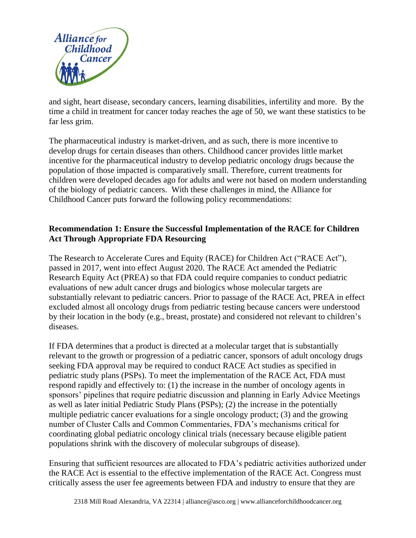

and sight, heart disease, secondary cancers, learning disabilities, infertility and more. By the time a child in treatment for cancer today reaches the age of 50, we want these statistics to be far less grim.

The pharmaceutical industry is market-driven, and as such, there is more incentive to develop drugs for certain diseases than others. Childhood cancer provides little market incentive for the pharmaceutical industry to develop pediatric oncology drugs because the population of those impacted is comparatively small. Therefore, current treatments for children were developed decades ago for adults and were not based on modern understanding of the biology of pediatric cancers. With these challenges in mind, the Alliance for Childhood Cancer puts forward the following policy recommendations:

## **Recommendation 1: Ensure the Successful Implementation of the RACE for Children Act Through Appropriate FDA Resourcing**

The Research to Accelerate Cures and Equity (RACE) for Children Act ("RACE Act"), passed in 2017, went into effect August 2020. The RACE Act amended the Pediatric Research Equity Act (PREA) so that FDA could require companies to conduct pediatric evaluations of new adult cancer drugs and biologics whose molecular targets are substantially relevant to pediatric cancers. Prior to passage of the RACE Act, PREA in effect excluded almost all oncology drugs from pediatric testing because cancers were understood by their location in the body (e.g., breast, prostate) and considered not relevant to children's diseases.

If FDA determines that a product is directed at a molecular target that is substantially relevant to the growth or progression of a pediatric cancer, sponsors of adult oncology drugs seeking FDA approval may be required to conduct RACE Act studies as specified in pediatric study plans (PSPs). To meet the implementation of the RACE Act, FDA must respond rapidly and effectively to: (1) the increase in the number of oncology agents in sponsors' pipelines that require pediatric discussion and planning in Early Advice Meetings as well as later initial Pediatric Study Plans (PSPs); (2) the increase in the potentially multiple pediatric cancer evaluations for a single oncology product; (3) and the growing number of Cluster Calls and Common Commentaries, FDA's mechanisms critical for coordinating global pediatric oncology clinical trials (necessary because eligible patient populations shrink with the discovery of molecular subgroups of disease).

Ensuring that sufficient resources are allocated to FDA's pediatric activities authorized under the RACE Act is essential to the effective implementation of the RACE Act. Congress must critically assess the user fee agreements between FDA and industry to ensure that they are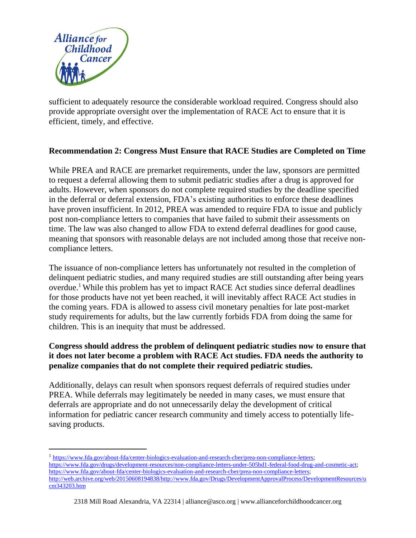

sufficient to adequately resource the considerable workload required. Congress should also provide appropriate oversight over the implementation of RACE Act to ensure that it is efficient, timely, and effective.

## **Recommendation 2: Congress Must Ensure that RACE Studies are Completed on Time**

While PREA and RACE are premarket requirements, under the law, sponsors are permitted to request a deferral allowing them to submit pediatric studies after a drug is approved for adults. However, when sponsors do not complete required studies by the deadline specified in the deferral or deferral extension, FDA's existing authorities to enforce these deadlines have proven insufficient. In 2012, PREA was amended to require FDA to issue and publicly post non-compliance letters to companies that have failed to submit their assessments on time. The law was also changed to allow FDA to extend deferral deadlines for good cause, meaning that sponsors with reasonable delays are not included among those that receive noncompliance letters.

The issuance of non-compliance letters has unfortunately not resulted in the completion of delinquent pediatric studies, and many required studies are still outstanding after being years overdue.<sup>1</sup> While this problem has yet to impact RACE Act studies since deferral deadlines for those products have not yet been reached, it will inevitably affect RACE Act studies in the coming years. FDA is allowed to assess civil monetary penalties for late post-market study requirements for adults, but the law currently forbids FDA from doing the same for children. This is an inequity that must be addressed.

## **Congress should address the problem of delinquent pediatric studies now to ensure that it does not later become a problem with RACE Act studies. FDA needs the authority to penalize companies that do not complete their required pediatric studies.**

Additionally, delays can result when sponsors request deferrals of required studies under PREA. While deferrals may legitimately be needed in many cases, we must ensure that deferrals are appropriate and do not unnecessarily delay the development of critical information for pediatric cancer research community and timely access to potentially lifesaving products.

<sup>&</sup>lt;sup>1</sup> [https://www.fda.gov/about-fda/center-biologics-evaluation-and-research-cber/prea-non-compliance-letters;](https://www.fda.gov/about-fda/center-biologics-evaluation-and-research-cber/prea-non-compliance-letters) [https://www.fda.gov/drugs/development-resources/non-compliance-letters-under-505bd1-federal-food-drug-and-cosmetic-act;](https://www.fda.gov/drugs/development-resources/non-compliance-letters-under-505bd1-federal-food-drug-and-cosmetic-act) [https://www.fda.gov/about-fda/center-biologics-evaluation-and-research-cber/prea-non-compliance-letters;](https://www.fda.gov/about-fda/center-biologics-evaluation-and-research-cber/prea-non-compliance-letters)  [http://web.archive.org/web/20150608194838/http://www.fda.gov/Drugs/DevelopmentApprovalProcess/DevelopmentResources/u](http://web.archive.org/web/20150608194838/http:/www.fda.gov/Drugs/DevelopmentApprovalProcess/DevelopmentResources/ucm343203.htm) [cm343203.htm](http://web.archive.org/web/20150608194838/http:/www.fda.gov/Drugs/DevelopmentApprovalProcess/DevelopmentResources/ucm343203.htm)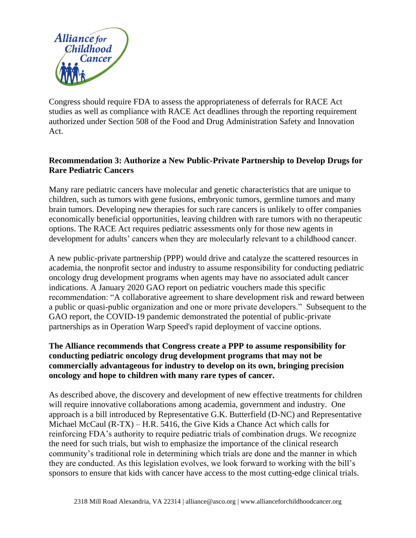

Congress should require FDA to assess the appropriateness of deferrals for RACE Act studies as well as compliance with RACE Act deadlines through the reporting requirement authorized under Section 508 of the Food and Drug Administration Safety and Innovation Act.

# **Recommendation 3: Authorize a New Public-Private Partnership to Develop Drugs for Rare Pediatric Cancers**

Many rare pediatric cancers have molecular and genetic characteristics that are unique to children, such as tumors with gene fusions, embryonic tumors, germline tumors and many brain tumors. Developing new therapies for such rare cancers is unlikely to offer companies economically beneficial opportunities, leaving children with rare tumors with no therapeutic options. The RACE Act requires pediatric assessments only for those new agents in development for adults' cancers when they are molecularly relevant to a childhood cancer.

A new public-private partnership (PPP) would drive and catalyze the scattered resources in academia, the nonprofit sector and industry to assume responsibility for conducting pediatric oncology drug development programs when agents may have no associated adult cancer indications. A January 2020 GAO report on pediatric vouchers made this specific recommendation: "A collaborative agreement to share development risk and reward between a public or quasi-public organization and one or more private developers." Subsequent to the GAO report, the COVID-19 pandemic demonstrated the potential of public-private partnerships as in Operation Warp Speed's rapid deployment of vaccine options.

## **The Alliance recommends that Congress create a PPP to assume responsibility for conducting pediatric oncology drug development programs that may not be commercially advantageous for industry to develop on its own, bringing precision oncology and hope to children with many rare types of cancer.**

As described above, the discovery and development of new effective treatments for children will require innovative collaborations among academia, government and industry. One approach is a bill introduced by Representative G.K. Butterfield (D-NC) and Representative Michael McCaul (R-TX) – H.R. 5416, the Give Kids a Chance Act which calls for reinforcing FDA's authority to require pediatric trials of combination drugs. We recognize the need for such trials, but wish to emphasize the importance of the clinical research community's traditional role in determining which trials are done and the manner in which they are conducted. As this legislation evolves, we look forward to working with the bill's sponsors to ensure that kids with cancer have access to the most cutting-edge clinical trials.